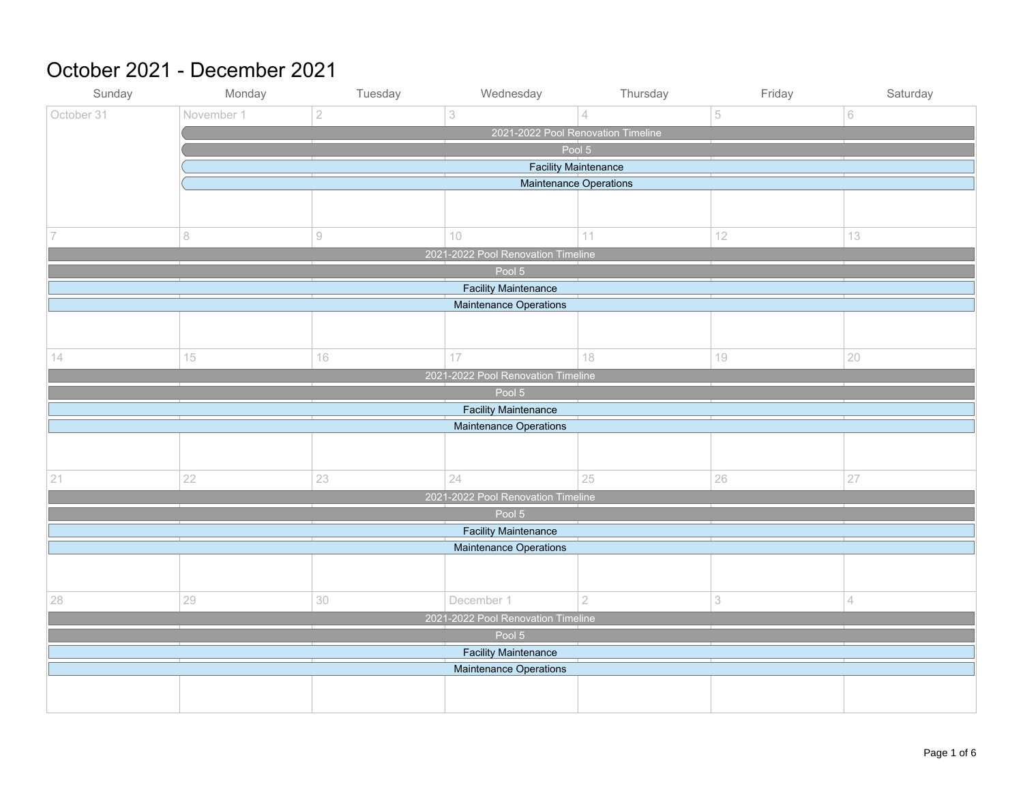#### October 2021 - December 2021

| Sunday                             | Monday                             | Tuesday        | Wednesday                                                    | Thursday       | Friday                    | Saturday |  |  |  |
|------------------------------------|------------------------------------|----------------|--------------------------------------------------------------|----------------|---------------------------|----------|--|--|--|
| October 31                         | November 1                         | $\overline{2}$ | 3                                                            | $\overline{4}$ | 5                         | 6        |  |  |  |
|                                    | 2021-2022 Pool Renovation Timeline |                |                                                              |                |                           |          |  |  |  |
|                                    | Pool 5                             |                |                                                              |                |                           |          |  |  |  |
|                                    | <b>Facility Maintenance</b>        |                |                                                              |                |                           |          |  |  |  |
|                                    |                                    |                | Maintenance Operations                                       |                |                           |          |  |  |  |
|                                    |                                    |                |                                                              |                |                           |          |  |  |  |
|                                    |                                    |                |                                                              |                |                           |          |  |  |  |
| 7                                  | 8                                  | $\odot$        | 10                                                           | 11             | 12                        | 13       |  |  |  |
|                                    |                                    |                | 2021-2022 Pool Renovation Timeline                           |                |                           |          |  |  |  |
|                                    |                                    |                | Pool 5                                                       |                |                           |          |  |  |  |
|                                    |                                    |                | <b>Facility Maintenance</b><br><b>Maintenance Operations</b> |                |                           |          |  |  |  |
|                                    |                                    |                |                                                              |                |                           |          |  |  |  |
|                                    |                                    |                |                                                              |                |                           |          |  |  |  |
| 14                                 | 15                                 | 16             | $17\,$                                                       | 18             | 19                        | 20       |  |  |  |
|                                    |                                    |                | 2021-2022 Pool Renovation Timeline                           |                |                           |          |  |  |  |
|                                    |                                    |                | Pool 5                                                       |                |                           |          |  |  |  |
|                                    |                                    |                | <b>Facility Maintenance</b>                                  |                |                           |          |  |  |  |
|                                    |                                    |                | Maintenance Operations                                       |                |                           |          |  |  |  |
|                                    |                                    |                |                                                              |                |                           |          |  |  |  |
|                                    |                                    |                |                                                              |                |                           |          |  |  |  |
| 21                                 | 22                                 | 23             | 24                                                           | 25             | 26                        | 27       |  |  |  |
|                                    | 2021-2022 Pool Renovation Timeline |                |                                                              |                |                           |          |  |  |  |
|                                    |                                    |                | Pool 5                                                       |                |                           |          |  |  |  |
|                                    |                                    |                | <b>Facility Maintenance</b>                                  |                |                           |          |  |  |  |
|                                    | Maintenance Operations             |                |                                                              |                |                           |          |  |  |  |
|                                    |                                    |                |                                                              |                |                           |          |  |  |  |
|                                    |                                    |                |                                                              |                |                           |          |  |  |  |
| 28                                 | 29                                 | $30\,$         | December 1                                                   | $\overline{2}$ | $\ensuremath{\mathsf{3}}$ | 4        |  |  |  |
| 2021-2022 Pool Renovation Timeline |                                    |                |                                                              |                |                           |          |  |  |  |
| Pool 5                             |                                    |                |                                                              |                |                           |          |  |  |  |
|                                    | <b>Facility Maintenance</b>        |                |                                                              |                |                           |          |  |  |  |
|                                    |                                    |                | Maintenance Operations                                       |                |                           |          |  |  |  |
|                                    |                                    |                |                                                              |                |                           |          |  |  |  |
|                                    |                                    |                |                                                              |                |                           |          |  |  |  |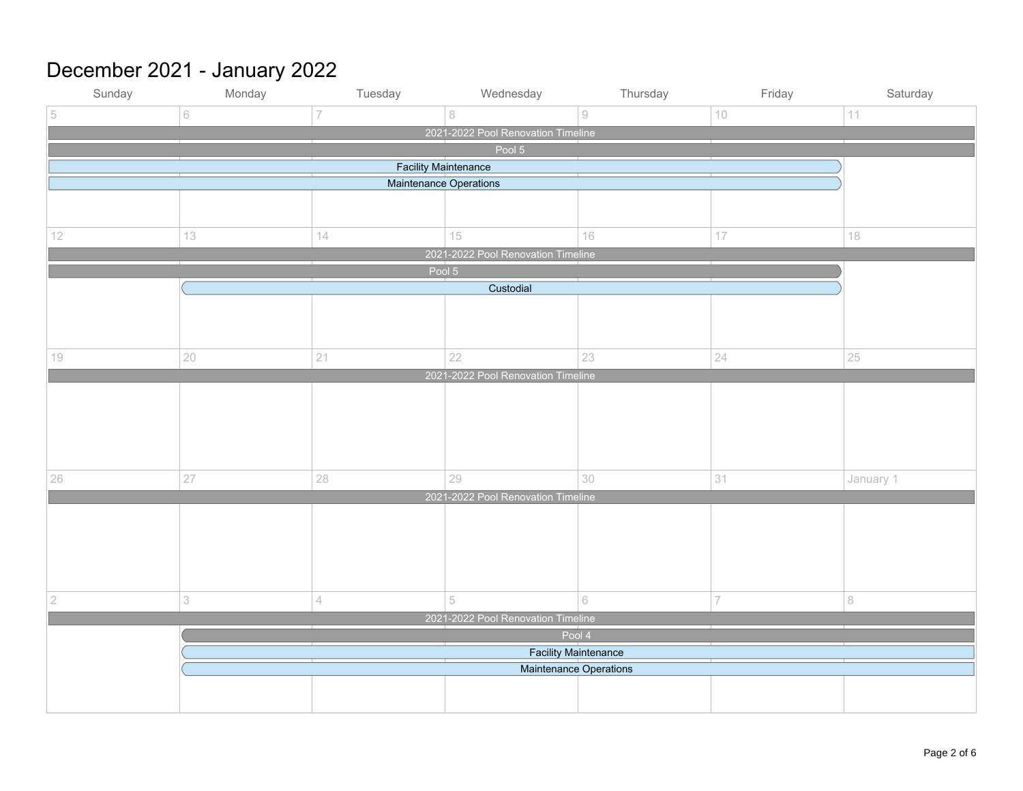# December 2021 - January 2022

| Sunday                             | Monday                     | Tuesday        | Wednesday                                                    | Thursday | Friday         | Saturday  |  |  |
|------------------------------------|----------------------------|----------------|--------------------------------------------------------------|----------|----------------|-----------|--|--|
| 5                                  | 6                          | $\overline{7}$ | $\,8\,$                                                      | $\odot$  | 10             | 11        |  |  |
| 2021-2022 Pool Renovation Timeline |                            |                |                                                              |          |                |           |  |  |
| Pool 5                             |                            |                |                                                              |          |                |           |  |  |
| <b>Facility Maintenance</b>        |                            |                |                                                              |          |                |           |  |  |
| Maintenance Operations             |                            |                |                                                              |          |                |           |  |  |
|                                    |                            |                |                                                              |          |                |           |  |  |
|                                    |                            |                |                                                              |          |                |           |  |  |
| 12                                 | 13                         | 14             | 15                                                           | 16       | 17             | $18\,$    |  |  |
|                                    |                            |                | 2021-2022 Pool Renovation Timeline                           |          |                |           |  |  |
|                                    |                            | Pool 5         |                                                              |          |                |           |  |  |
|                                    |                            |                | Custodial                                                    |          |                |           |  |  |
|                                    |                            |                |                                                              |          |                |           |  |  |
|                                    |                            |                |                                                              |          |                |           |  |  |
|                                    |                            |                |                                                              |          |                |           |  |  |
| $10\,$                             | $20\,$                     | 21             | 22                                                           | 23       | 24             | 25        |  |  |
|                                    |                            |                | 2021-2022 Pool Renovation Timeline                           |          |                |           |  |  |
|                                    |                            |                |                                                              |          |                |           |  |  |
|                                    |                            |                |                                                              |          |                |           |  |  |
|                                    |                            |                |                                                              |          |                |           |  |  |
|                                    |                            |                |                                                              |          |                |           |  |  |
| 26                                 | 27                         | 28             | 29                                                           | 30       | 31             | January 1 |  |  |
|                                    |                            |                | 2021-2022 Pool Renovation Timeline                           |          |                |           |  |  |
|                                    |                            |                |                                                              |          |                |           |  |  |
|                                    |                            |                |                                                              |          |                |           |  |  |
|                                    |                            |                |                                                              |          |                |           |  |  |
|                                    |                            |                |                                                              |          |                |           |  |  |
|                                    |                            |                |                                                              |          |                |           |  |  |
| $\sqrt{2}$                         | $\ensuremath{\mathcal{S}}$ | $\overline{4}$ | 5                                                            | 6        | $\overline{7}$ | 8         |  |  |
|                                    |                            |                | 2021-2022 Pool Renovation Timeline                           |          |                |           |  |  |
|                                    |                            |                |                                                              |          |                |           |  |  |
|                                    |                            |                |                                                              |          |                |           |  |  |
|                                    |                            |                | <b>Facility Maintenance</b><br><b>Maintenance Operations</b> |          |                |           |  |  |
|                                    |                            |                |                                                              |          |                |           |  |  |
|                                    |                            |                |                                                              |          |                |           |  |  |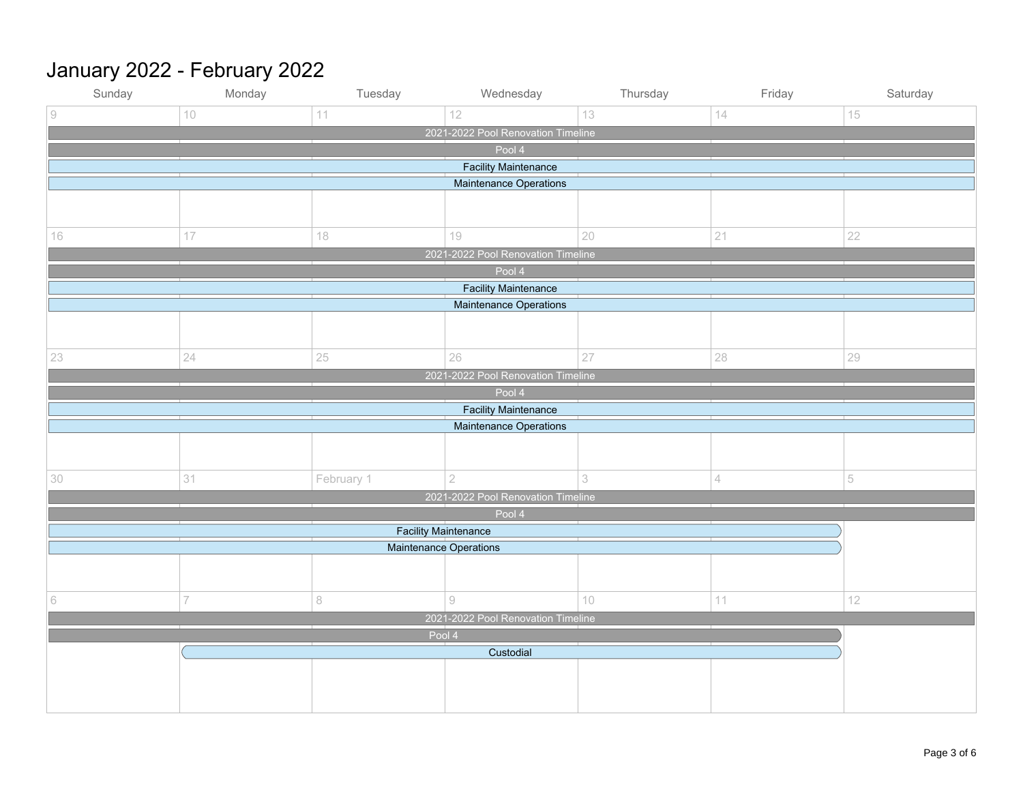# January 2022 - February 2022

| Sunday                             | Monday | Tuesday                       | Wednesday                                                 | Thursday | Friday | Saturday |  |  |
|------------------------------------|--------|-------------------------------|-----------------------------------------------------------|----------|--------|----------|--|--|
| $\overline{9}$                     | 10     | 11                            | 12                                                        | 13       | 14     | 15       |  |  |
|                                    |        |                               | 2021-2022 Pool Renovation Timeline                        |          |        |          |  |  |
| Pool 4                             |        |                               |                                                           |          |        |          |  |  |
| <b>Facility Maintenance</b>        |        |                               |                                                           |          |        |          |  |  |
|                                    |        |                               | Maintenance Operations                                    |          |        |          |  |  |
|                                    |        |                               |                                                           |          |        |          |  |  |
| $16\,$                             | $17\,$ | 18                            | 19                                                        | 20       | 21     | 22       |  |  |
|                                    |        |                               | 2021-2022 Pool Renovation Timeline                        |          |        |          |  |  |
|                                    |        |                               | Pool 4                                                    |          |        |          |  |  |
|                                    |        |                               | <b>Facility Maintenance</b>                               |          |        |          |  |  |
|                                    |        |                               | Maintenance Operations                                    |          |        |          |  |  |
|                                    |        |                               |                                                           |          |        |          |  |  |
|                                    |        |                               |                                                           |          |        |          |  |  |
| 23                                 | 24     | 25                            | 26                                                        | 27       | 28     | 29       |  |  |
|                                    |        |                               | 2021-2022 Pool Renovation Timeline                        |          |        |          |  |  |
|                                    |        |                               | Pool 4                                                    |          |        |          |  |  |
|                                    |        |                               | <b>Facility Maintenance</b>                               |          |        |          |  |  |
|                                    |        |                               | Maintenance Operations                                    |          |        |          |  |  |
|                                    |        |                               |                                                           |          |        |          |  |  |
| 30                                 | 31     | February 1                    | $\overline{2}$                                            | 3        | 4      | 5        |  |  |
|                                    |        |                               | 2021-2022 Pool Renovation Timeline                        |          |        |          |  |  |
|                                    |        |                               | Pool 4                                                    |          |        |          |  |  |
|                                    |        | <b>Facility Maintenance</b>   |                                                           |          |        |          |  |  |
|                                    |        | <b>Maintenance Operations</b> |                                                           |          |        |          |  |  |
|                                    |        |                               |                                                           |          |        |          |  |  |
|                                    |        |                               |                                                           |          |        |          |  |  |
| 6                                  | 7      | $\,8\,$                       | $\mathcal{G}% _{M_{1},M_{2}}^{\alpha,\beta}(\varepsilon)$ | $10$     | $11\,$ | 12       |  |  |
| 2021-2022 Pool Renovation Timeline |        |                               |                                                           |          |        |          |  |  |
| Pool 4<br>Custodial                |        |                               |                                                           |          |        |          |  |  |
|                                    |        |                               |                                                           |          |        |          |  |  |
|                                    |        |                               |                                                           |          |        |          |  |  |
|                                    |        |                               |                                                           |          |        |          |  |  |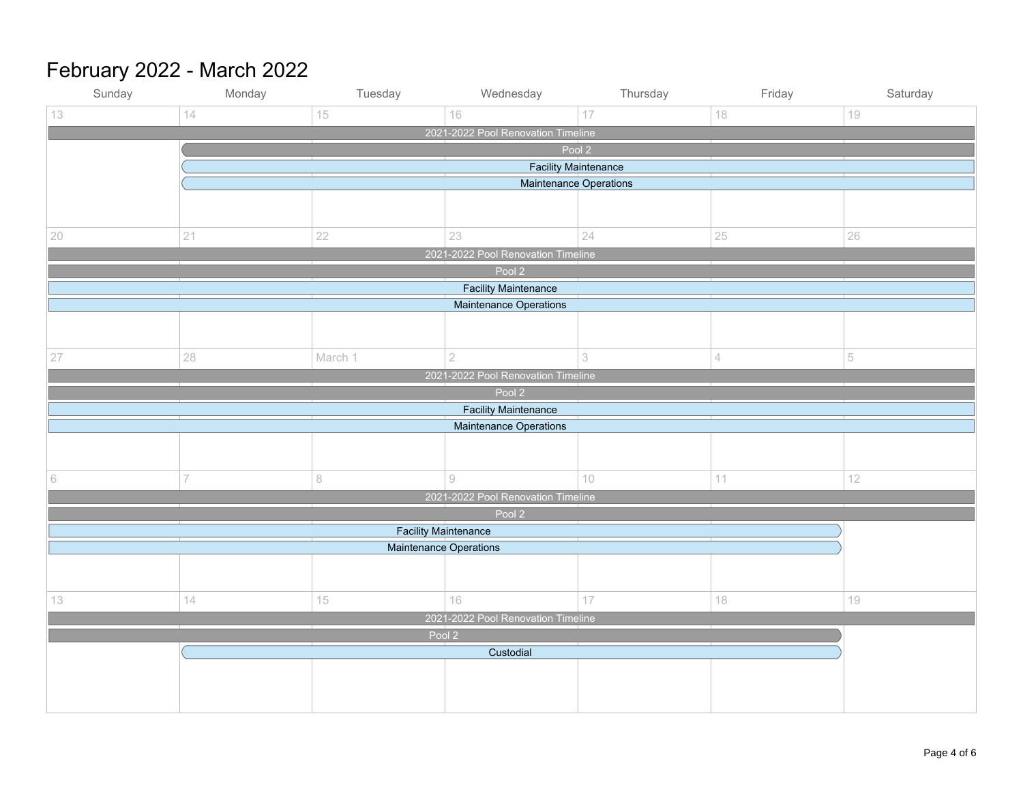# February 2022 - March 2022

| Sunday                             | Monday                      | Tuesday                       | Wednesday                             | Thursday | Friday         | Saturday |  |  |  |
|------------------------------------|-----------------------------|-------------------------------|---------------------------------------|----------|----------------|----------|--|--|--|
| 13                                 | 14                          | 15                            | 16                                    | 17       | 18             | $19$     |  |  |  |
| 2021-2022 Pool Renovation Timeline |                             |                               |                                       |          |                |          |  |  |  |
|                                    | Pool 2                      |                               |                                       |          |                |          |  |  |  |
|                                    | <b>Facility Maintenance</b> |                               |                                       |          |                |          |  |  |  |
| Maintenance Operations             |                             |                               |                                       |          |                |          |  |  |  |
|                                    |                             |                               |                                       |          |                |          |  |  |  |
|                                    |                             |                               |                                       |          |                |          |  |  |  |
| 20                                 | 21                          | 22                            | 23                                    | 24       | 25             | 26       |  |  |  |
|                                    |                             |                               | 2021-2022 Pool Renovation Timeline    |          |                |          |  |  |  |
|                                    |                             |                               | Pool 2                                |          |                |          |  |  |  |
|                                    |                             |                               | <b>Facility Maintenance</b>           |          |                |          |  |  |  |
|                                    |                             |                               | <b>Maintenance Operations</b>         |          |                |          |  |  |  |
|                                    |                             |                               |                                       |          |                |          |  |  |  |
|                                    |                             |                               |                                       |          |                |          |  |  |  |
| 27                                 | 28                          | March 1                       | $\sqrt{2}$                            | 3        | $\overline{4}$ | 5        |  |  |  |
|                                    |                             |                               | 2021-2022 Pool Renovation Timeline    |          |                |          |  |  |  |
|                                    |                             |                               | Pool 2<br><b>Facility Maintenance</b> |          |                |          |  |  |  |
|                                    |                             |                               | Maintenance Operations                |          |                |          |  |  |  |
|                                    |                             |                               |                                       |          |                |          |  |  |  |
|                                    |                             |                               |                                       |          |                |          |  |  |  |
| $\,$ $\,$ $\,$                     | $\overline{7}$              | $\,$ $\,$                     | $\mathcal{G}% _{0}$                   | $10$     | $11\,$         | 12       |  |  |  |
|                                    |                             |                               | 2021-2022 Pool Renovation Timeline    |          |                |          |  |  |  |
|                                    |                             |                               | Pool 2                                |          |                |          |  |  |  |
|                                    |                             | <b>Facility Maintenance</b>   |                                       |          |                |          |  |  |  |
|                                    |                             | <b>Maintenance Operations</b> |                                       |          |                |          |  |  |  |
|                                    |                             |                               |                                       |          |                |          |  |  |  |
|                                    |                             |                               |                                       |          |                |          |  |  |  |
| 13                                 | 14                          | 15                            | 16                                    | 17       | 18             | $19$     |  |  |  |
| 2021-2022 Pool Renovation Timeline |                             |                               |                                       |          |                |          |  |  |  |
| Pool 2                             |                             |                               |                                       |          |                |          |  |  |  |
| Custodial                          |                             |                               |                                       |          |                |          |  |  |  |
|                                    |                             |                               |                                       |          |                |          |  |  |  |
|                                    |                             |                               |                                       |          |                |          |  |  |  |
|                                    |                             |                               |                                       |          |                |          |  |  |  |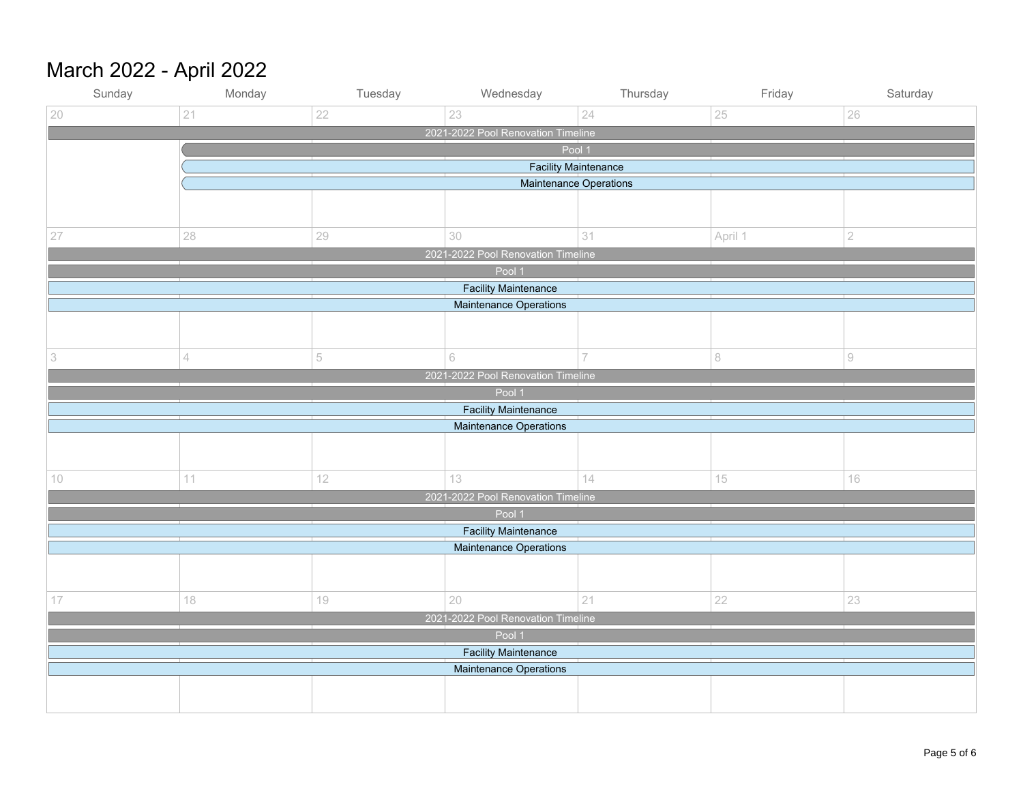# March 2022 - April 2022

| Sunday                             | Monday                        | Tuesday | Wednesday                                             | Thursday       | Friday  | Saturday          |  |  |  |
|------------------------------------|-------------------------------|---------|-------------------------------------------------------|----------------|---------|-------------------|--|--|--|
| 20                                 | 21                            | 22      | 23                                                    | 24             | 25      | 26                |  |  |  |
| 2021-2022 Pool Renovation Timeline |                               |         |                                                       |                |         |                   |  |  |  |
|                                    | Pool 1                        |         |                                                       |                |         |                   |  |  |  |
|                                    | <b>Facility Maintenance</b>   |         |                                                       |                |         |                   |  |  |  |
| <b>Maintenance Operations</b>      |                               |         |                                                       |                |         |                   |  |  |  |
|                                    |                               |         |                                                       |                |         |                   |  |  |  |
|                                    |                               |         |                                                       |                |         |                   |  |  |  |
| 27                                 | 28                            | 29      | 30                                                    | 31             | April 1 | $\sqrt{2}$        |  |  |  |
|                                    |                               |         | 2021-2022 Pool Renovation Timeline                    |                |         |                   |  |  |  |
|                                    |                               |         | Pool 1                                                |                |         |                   |  |  |  |
|                                    |                               |         | <b>Facility Maintenance</b>                           |                |         |                   |  |  |  |
|                                    |                               |         | <b>Maintenance Operations</b>                         |                |         |                   |  |  |  |
|                                    |                               |         |                                                       |                |         |                   |  |  |  |
|                                    |                               |         |                                                       |                |         |                   |  |  |  |
| $\ensuremath{\mathcal{S}}$         | $\overline{4}$                | 5       | $\mathbb{G}% _{n}^{X}$                                | $\overline{7}$ | $\,8\,$ | $\mathrel{\odot}$ |  |  |  |
|                                    |                               |         | 2021-2022 Pool Renovation Timeline                    |                |         |                   |  |  |  |
|                                    |                               |         | Pool 1                                                |                |         |                   |  |  |  |
|                                    |                               |         | <b>Facility Maintenance</b><br>Maintenance Operations |                |         |                   |  |  |  |
|                                    |                               |         |                                                       |                |         |                   |  |  |  |
|                                    |                               |         |                                                       |                |         |                   |  |  |  |
| 10                                 | 11                            | 12      | 13                                                    | 14             | 15      | 16                |  |  |  |
|                                    |                               |         | 2021-2022 Pool Renovation Timeline                    |                |         |                   |  |  |  |
|                                    |                               |         | Pool 1                                                |                |         |                   |  |  |  |
|                                    |                               |         | <b>Facility Maintenance</b>                           |                |         |                   |  |  |  |
|                                    | <b>Maintenance Operations</b> |         |                                                       |                |         |                   |  |  |  |
|                                    |                               |         |                                                       |                |         |                   |  |  |  |
|                                    |                               |         |                                                       |                |         |                   |  |  |  |
| 17                                 | 18                            | $19$    | 20                                                    | 21             | 22      | 23                |  |  |  |
|                                    |                               |         | 2021-2022 Pool Renovation Timeline                    |                |         |                   |  |  |  |
| Pool 1                             |                               |         |                                                       |                |         |                   |  |  |  |
| <b>Facility Maintenance</b>        |                               |         |                                                       |                |         |                   |  |  |  |
|                                    |                               |         | Maintenance Operations                                |                |         |                   |  |  |  |
|                                    |                               |         |                                                       |                |         |                   |  |  |  |
|                                    |                               |         |                                                       |                |         |                   |  |  |  |